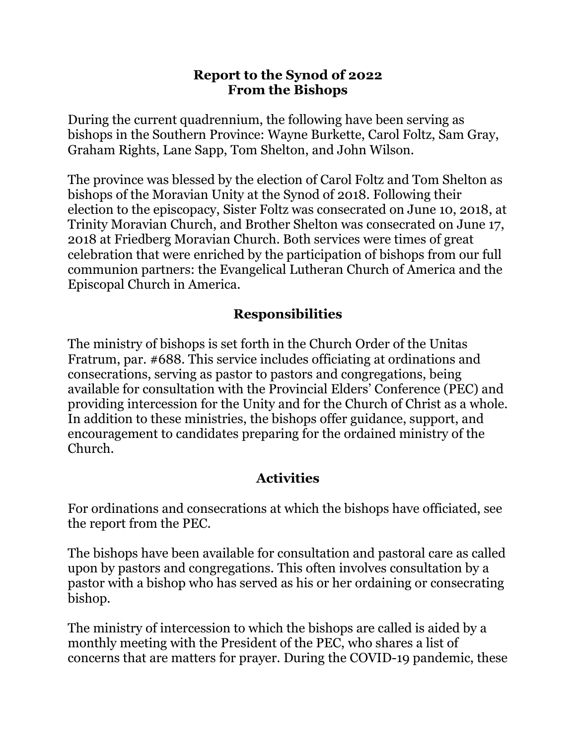## **Report to the Synod of 2022 From the Bishops**

During the current quadrennium, the following have been serving as bishops in the Southern Province: Wayne Burkette, Carol Foltz, Sam Gray, Graham Rights, Lane Sapp, Tom Shelton, and John Wilson.

The province was blessed by the election of Carol Foltz and Tom Shelton as bishops of the Moravian Unity at the Synod of 2018. Following their election to the episcopacy, Sister Foltz was consecrated on June 10, 2018, at Trinity Moravian Church, and Brother Shelton was consecrated on June 17, 2018 at Friedberg Moravian Church. Both services were times of great celebration that were enriched by the participation of bishops from our full communion partners: the Evangelical Lutheran Church of America and the Episcopal Church in America.

## **Responsibilities**

The ministry of bishops is set forth in the Church Order of the Unitas Fratrum, par. #688. This service includes officiating at ordinations and consecrations, serving as pastor to pastors and congregations, being available for consultation with the Provincial Elders' Conference (PEC) and providing intercession for the Unity and for the Church of Christ as a whole. In addition to these ministries, the bishops offer guidance, support, and encouragement to candidates preparing for the ordained ministry of the Church.

## **Activities**

For ordinations and consecrations at which the bishops have officiated, see the report from the PEC.

The bishops have been available for consultation and pastoral care as called upon by pastors and congregations. This often involves consultation by a pastor with a bishop who has served as his or her ordaining or consecrating bishop.

The ministry of intercession to which the bishops are called is aided by a monthly meeting with the President of the PEC, who shares a list of concerns that are matters for prayer. During the COVID-19 pandemic, these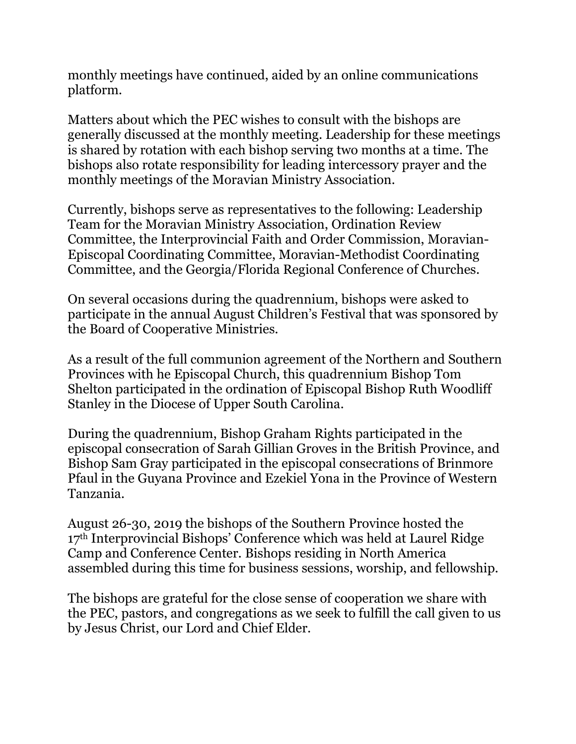monthly meetings have continued, aided by an online communications platform.

Matters about which the PEC wishes to consult with the bishops are generally discussed at the monthly meeting. Leadership for these meetings is shared by rotation with each bishop serving two months at a time. The bishops also rotate responsibility for leading intercessory prayer and the monthly meetings of the Moravian Ministry Association.

Currently, bishops serve as representatives to the following: Leadership Team for the Moravian Ministry Association, Ordination Review Committee, the Interprovincial Faith and Order Commission, Moravian-Episcopal Coordinating Committee, Moravian-Methodist Coordinating Committee, and the Georgia/Florida Regional Conference of Churches.

On several occasions during the quadrennium, bishops were asked to participate in the annual August Children's Festival that was sponsored by the Board of Cooperative Ministries.

As a result of the full communion agreement of the Northern and Southern Provinces with he Episcopal Church, this quadrennium Bishop Tom Shelton participated in the ordination of Episcopal Bishop Ruth Woodliff Stanley in the Diocese of Upper South Carolina.

During the quadrennium, Bishop Graham Rights participated in the episcopal consecration of Sarah Gillian Groves in the British Province, and Bishop Sam Gray participated in the episcopal consecrations of Brinmore Pfaul in the Guyana Province and Ezekiel Yona in the Province of Western Tanzania.

August 26-30, 2019 the bishops of the Southern Province hosted the 17<sup>th</sup> Interprovincial Bishops' Conference which was held at Laurel Ridge Camp and Conference Center. Bishops residing in North America assembled during this time for business sessions, worship, and fellowship.

The bishops are grateful for the close sense of cooperation we share with the PEC, pastors, and congregations as we seek to fulfill the call given to us by Jesus Christ, our Lord and Chief Elder.